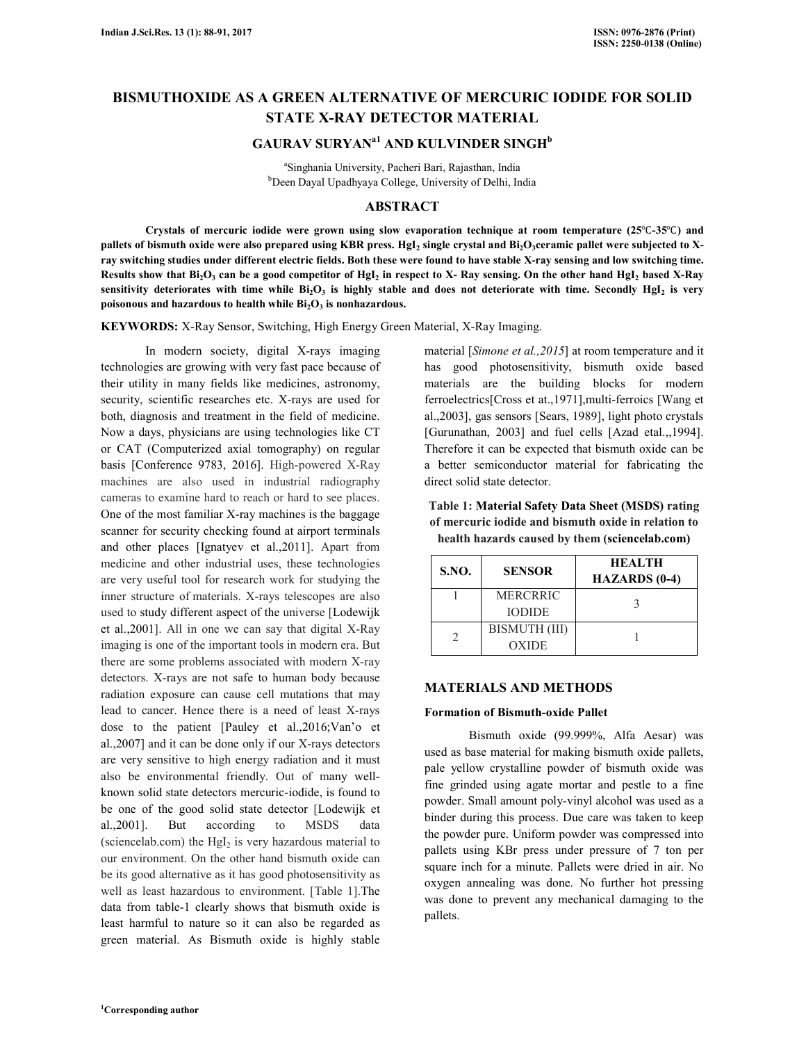# **BISMUTHOXIDE AS A GREEN ALTERNATIVE OF MERCURIC IODIDE FOR SOLID STATE X-RAY DETECTOR MATERIAL**

# **GAURAV SURYANa1 AND KULVINDER SINGH<sup>b</sup>**

a Singhania University, Pacheri Bari, Rajasthan, India <sup>b</sup>Deen Dayal Upadhyaya College, University of Delhi, India

### **ABSTRACT**

 **Crystals of mercuric iodide were grown using slow evaporation technique at room temperature (25**℃**-35**℃**) and pallets of bismuth oxide were also prepared using KBR press. HgI<sup>2</sup> single crystal and Bi2O3ceramic pallet were subjected to Xray switching studies under different electric fields. Both these were found to have stable X-ray sensing and low switching time. Results show that Bi2O<sup>3</sup> can be a good competitor of HgI<sup>2</sup> in respect to X- Ray sensing. On the other hand HgI<sup>2</sup> based X-Ray sensitivity deteriorates with time while Bi2O<sup>3</sup> is highly stable and does not deteriorate with time. Secondly HgI<sup>2</sup> is very poisonous and hazardous to health while Bi2O<sup>3</sup> is nonhazardous.** 

**KEYWORDS:** X-Ray Sensor, Switching, High Energy Green Material, X-Ray Imaging.

In modern society, digital X-rays imaging technologies are growing with very fast pace because of their utility in many fields like medicines, astronomy, security, scientific researches etc. X-rays are used for both, diagnosis and treatment in the field of medicine. Now a days, physicians are using technologies like CT or CAT (Computerized axial tomography) on regular basis [Conference 9783, 2016]. High-powered X-Ray machines are also used in industrial radiography cameras to examine hard to reach or hard to see places. One of the most familiar X-ray machines is the baggage scanner for security checking found at airport terminals and other places [Ignatyev et al.,2011]. Apart from medicine and other industrial uses, these technologies are very useful tool for research work for studying the inner structure of materials. X-rays telescopes are also used to study different aspect of the universe [Lodewijk et al.,2001]. All in one we can say that digital X-Ray imaging is one of the important tools in modern era. But there are some problems associated with modern X-ray detectors. X-rays are not safe to human body because radiation exposure can cause cell mutations that may lead to cancer. Hence there is a need of least X-rays dose to the patient [Pauley et al.,2016;Van'o et al.,2007] and it can be done only if our X-rays detectors are very sensitive to high energy radiation and it must also be environmental friendly. Out of many wellknown solid state detectors mercuric-iodide, is found to be one of the good solid state detector [Lodewijk et al.,2001]. But according to MSDS data (sciencelab.com) the  $Hgl<sub>2</sub>$  is very hazardous material to our environment. On the other hand bismuth oxide can be its good alternative as it has good photosensitivity as well as least hazardous to environment. [Table 1].The data from table-1 clearly shows that bismuth oxide is least harmful to nature so it can also be regarded as green material. As Bismuth oxide is highly stable

material [*Simone et al.,2015*] at room temperature and it has good photosensitivity, bismuth oxide based materials are the building blocks for modern ferroelectrics[Cross et at.,1971],multi-ferroics [Wang et al.,2003], gas sensors [Sears, 1989], light photo crystals [Gurunathan, 2003] and fuel cells [Azad etal.,,1994]. Therefore it can be expected that bismuth oxide can be a better semiconductor material for fabricating the direct solid state detector.

**Table 1: Material Safety Data Sheet (MSDS) rating of mercuric iodide and bismuth oxide in relation to health hazards caused by them (sciencelab.com)**

| <b>S.NO.</b> | <b>SENSOR</b>             | <b>HEALTH</b><br><b>HAZARDS</b> (0-4) |
|--------------|---------------------------|---------------------------------------|
|              | MERCRRIC<br><b>IODIDE</b> |                                       |
|              | BISMUTH (III)<br>OXIDE    |                                       |

### **MATERIALS AND METHODS**

#### **Formation of Bismuth-oxide Pallet**

 Bismuth oxide (99.999%, Alfa Aesar) was used as base material for making bismuth oxide pallets, pale yellow crystalline powder of bismuth oxide was fine grinded using agate mortar and pestle to a fine powder. Small amount poly-vinyl alcohol was used as a binder during this process. Due care was taken to keep the powder pure. Uniform powder was compressed into pallets using KBr press under pressure of 7 ton per square inch for a minute. Pallets were dried in air. No oxygen annealing was done. No further hot pressing was done to prevent any mechanical damaging to the pallets.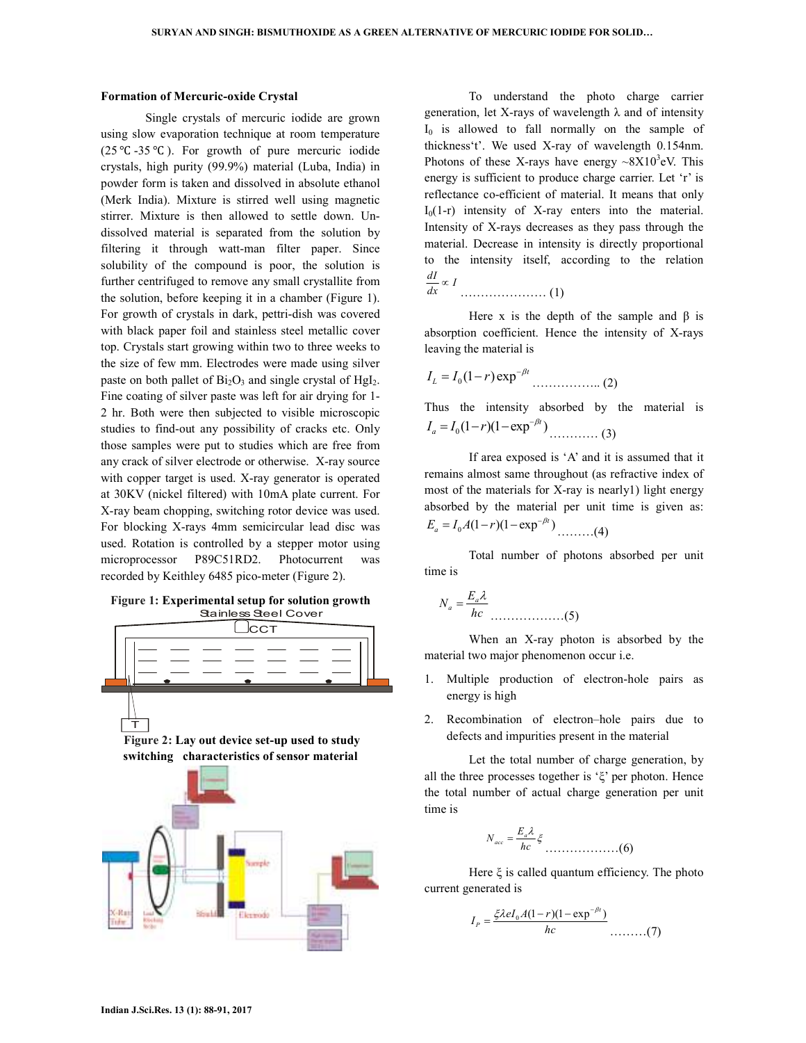#### **Formation of Mercuric-oxide Crystal**

 Single crystals of mercuric iodide are grown using slow evaporation technique at room temperature (25 °C -35 °C). For growth of pure mercuric iodide crystals, high purity (99.9%) material (Luba, India) in powder form is taken and dissolved in absolute ethanol (Merk India). Mixture is stirred well using magnetic stirrer. Mixture is then allowed to settle down. Undissolved material is separated from the solution by filtering it through watt-man filter paper. Since solubility of the compound is poor, the solution is further centrifuged to remove any small crystallite from the solution, before keeping it in a chamber (Figure 1). For growth of crystals in dark, pettri-dish was covered with black paper foil and stainless steel metallic cover top. Crystals start growing within two to three weeks to the size of few mm. Electrodes were made using silver paste on both pallet of  $Bi<sub>2</sub>O<sub>3</sub>$  and single crystal of  $HgI<sub>2</sub>$ . Fine coating of silver paste was left for air drying for 1- 2 hr. Both were then subjected to visible microscopic studies to find-out any possibility of cracks etc. Only those samples were put to studies which are free from any crack of silver electrode or otherwise. X-ray source with copper target is used. X-ray generator is operated at 30KV (nickel filtered) with 10mA plate current. For X-ray beam chopping, switching rotor device was used. For blocking X-rays 4mm semicircular lead disc was used. Rotation is controlled by a stepper motor using microprocessor P89C51RD2. Photocurrent was recorded by Keithley 6485 pico-meter (Figure 2).

#### **Figure 1: Experimental setup for solution growth**  Stainless Steel Cover







 To understand the photo charge carrier generation, let X-rays of wavelength λ and of intensity  $I_0$  is allowed to fall normally on the sample of thickness't'. We used X-ray of wavelength 0.154nm. Photons of these X-rays have energy  $\sim 8X10^3$ eV. This energy is sufficient to produce charge carrier. Let 'r' is reflectance co-efficient of material. It means that only  $I_0(1-r)$  intensity of X-ray enters into the material. Intensity of X-rays decreases as they pass through the material. Decrease in intensity is directly proportional to the intensity itself, according to the relation  $\frac{dI}{dx}$  ∞ 1

$$
dx \qquad \qquad \ldots \qquad (1)
$$

Here x is the depth of the sample and  $\beta$  is absorption coefficient. Hence the intensity of X-rays leaving the material is

$$
I_L = I_0 (1 - r) \exp^{-\beta t} \dots (2)
$$

Thus the intensity absorbed by the material is 0 (1 )(1 exp )*<sup>t</sup> a I I r* <sup>−</sup><sup>β</sup> = − − ………… (3)

 If area exposed is 'A' and it is assumed that it remains almost same throughout (as refractive index of most of the materials for X-ray is nearly1) light energy absorbed by the material per unit time is given as: 0 (1 )(1 exp )*<sup>t</sup> E I A r <sup>a</sup>* −β = − − ………(4)

 Total number of photons absorbed per unit time is

$$
N_a = \frac{E_a \lambda}{hc}
$$
 (5)

 When an X-ray photon is absorbed by the material two major phenomenon occur i.e.

- 1. Multiple production of electron-hole pairs as energy is high
- 2. Recombination of electron–hole pairs due to defects and impurities present in the material

 Let the total number of charge generation, by all the three processes together is 'ξ' per photon. Hence the total number of actual charge generation per unit time is

$$
N_{acc} = \frac{E_a \lambda}{hc} \xi
$$
 (6)

Here  $\xi$  is called quantum efficiency. The photo current generated is

$$
I_{P} = \frac{\xi \lambda e I_{0} A (1 - r) (1 - \exp^{-\beta t})}{hc}
$$
 (7)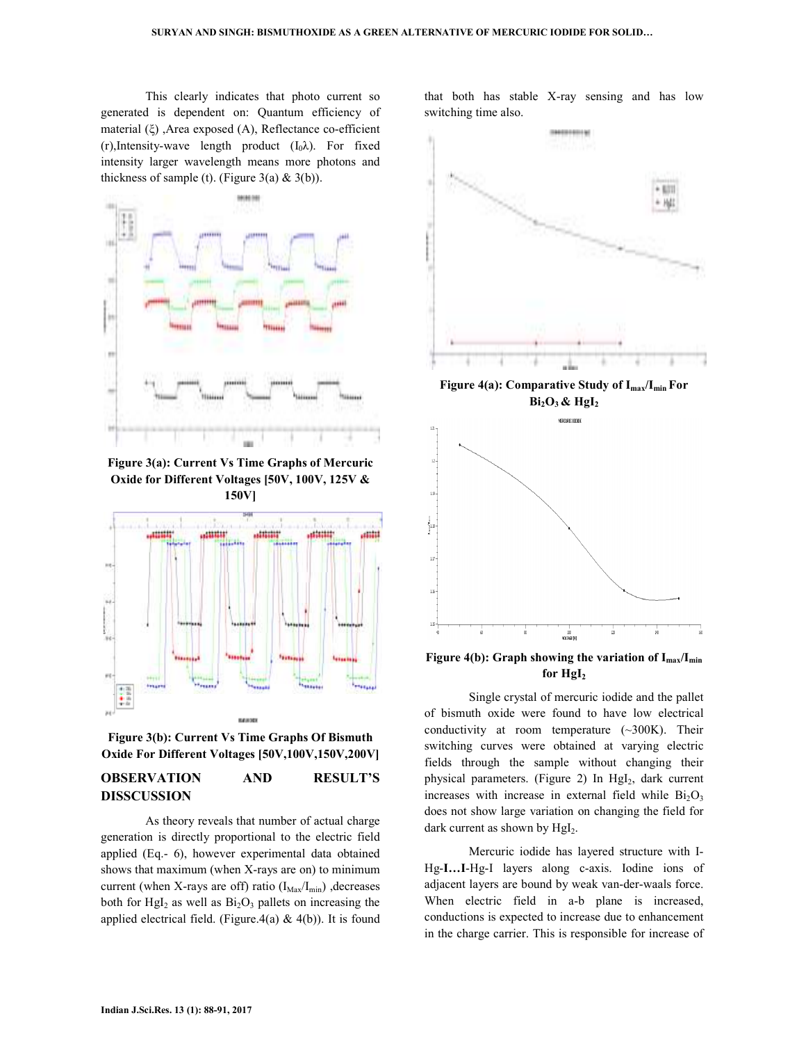This clearly indicates that photo current so generated is dependent on: Quantum efficiency of material (ξ) ,Area exposed (A), Reflectance co-efficient (r),Intensity-wave length product  $(I_0\lambda)$ . For fixed intensity larger wavelength means more photons and thickness of sample (t). (Figure 3(a)  $& 3(b)$ ).



**Figure 3(a): Current Vs Time Graphs of Mercuric Oxide for Different Voltages [50V, 100V, 125V & 150V]** 



**Figure 3(b): Current Vs Time Graphs Of Bismuth Oxide For Different Voltages [50V,100V,150V,200V]** 

# **OBSERVATION AND RESULT'S DISSCUSSION**

 As theory reveals that number of actual charge generation is directly proportional to the electric field applied (Eq.- 6), however experimental data obtained shows that maximum (when X-rays are on) to minimum current (when X-rays are off) ratio  $(I_{\text{Max}}/I_{\text{min}})$ , decreases both for  $Hgl<sub>2</sub>$  as well as  $Bi<sub>2</sub>O<sub>3</sub>$  pallets on increasing the applied electrical field. (Figure.4(a)  $\&$  4(b)). It is found that both has stable X-ray sensing and has low switching time also.





**Figure 4(b): Graph showing the variation of Imax/Imin for HgI<sup>2</sup>**

 Single crystal of mercuric iodide and the pallet of bismuth oxide were found to have low electrical conductivity at room temperature (~300K). Their switching curves were obtained at varying electric fields through the sample without changing their physical parameters. (Figure 2) In HgI<sub>2</sub>, dark current increases with increase in external field while  $Bi<sub>2</sub>O<sub>3</sub>$ does not show large variation on changing the field for dark current as shown by  $HgI<sub>2</sub>$ .

 Mercuric iodide has layered structure with I-Hg-**I…I**-Hg-I layers along c-axis. Iodine ions of adjacent layers are bound by weak van-der-waals force. When electric field in a-b plane is increased, conductions is expected to increase due to enhancement in the charge carrier. This is responsible for increase of